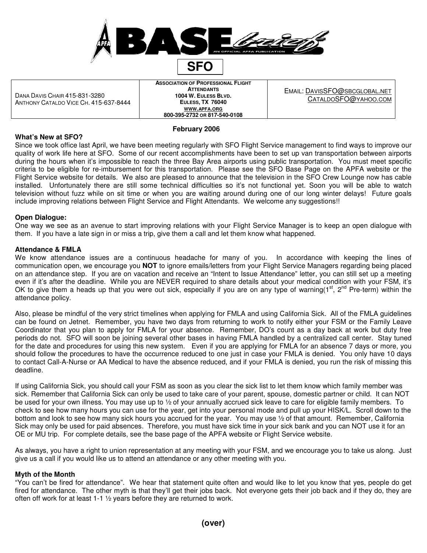

DANA DAVIS CHAIR 415-831-3280 ANTHONY CATALDO VICE CH. 415-637-8444 **ASSOCIATION OF PROFESSIONAL FLIGHT ATTENDANTS 1004 W. EULESS BLVD. EULESS, TX 76040 WWW.APFA.ORG 800-395-2732 OR 817-540-0108**

EMAIL: DAVISSFO@SBCGLOBAL.NET CATALDOSFO@YAHOO.COM

# **February 2006**

#### **What's New at SFO?**

Since we took office last April, we have been meeting regularly with SFO Flight Service management to find ways to improve our quality of work life here at SFO. Some of our recent accomplishments have been to set up van transportation between airports during the hours when it's impossible to reach the three Bay Area airports using public transportation. You must meet specific criteria to be eligible for re-imbursement for this transportation. Please see the SFO Base Page on the APFA website or the Flight Service website for details. We also are pleased to announce that the television in the SFO Crew Lounge now has cable installed. Unfortunately there are still some technical difficulties so it's not functional yet. Soon you will be able to watch television without fuzz while on sit time or when you are waiting around during one of our long winter delays! Future goals include improving relations between Flight Service and Flight Attendants. We welcome any suggestions!!

## **Open Dialogue:**

One way we see as an avenue to start improving relations with your Flight Service Manager is to keep an open dialogue with them. If you have a late sign in or miss a trip, give them a call and let them know what happened.

#### **Attendance & FMLA**

We know attendance issues are a continuous headache for many of you. In accordance with keeping the lines of communication open, we encourage you **NOT** to ignore emails/letters from your Flight Service Managers regarding being placed on an attendance step. If you are on vacation and receive an "Intent to Issue Attendance" letter, you can still set up a meeting even if it's after the deadline. While you are NEVER required to share details about your medical condition with your FSM, it's OK to give them a heads up that you were out sick, especially if you are on any type of warning( $1^{st}$ ,  $2^{nd}$  Pre-term) within the attendance policy.

Also, please be mindful of the very strict timelines when applying for FMLA and using California Sick. All of the FMLA guidelines can be found on Jetnet. Remember, you have two days from returning to work to notify either your FSM or the Family Leave Coordinator that you plan to apply for FMLA for your absence. Remember, DO's count as a day back at work but duty free periods do not. SFO will soon be joining several other bases in having FMLA handled by a centralized call center. Stay tuned for the date and procedures for using this new system. Even if you are applying for FMLA for an absence 7 days or more, you should follow the procedures to have the occurrence reduced to one just in case your FMLA is denied. You only have 10 days to contact Call-A-Nurse or AA Medical to have the absence reduced, and if your FMLA is denied, you run the risk of missing this deadline.

If using California Sick, you should call your FSM as soon as you clear the sick list to let them know which family member was sick. Remember that California Sick can only be used to take care of your parent, spouse, domestic partner or child. It can NOT be used for your own illness. You may use up to ½ of your annually accrued sick leave to care for eligible family members. To check to see how many hours you can use for the year, get into your personal mode and pull up your HISK/L. Scroll down to the bottom and look to see how many sick hours you accrued for the year. You may use ½ of that amount. Remember, California Sick may only be used for paid absences. Therefore, you must have sick time in your sick bank and you can NOT use it for an OE or MU trip. For complete details, see the base page of the APFA website or Flight Service website.

As always, you have a right to union representation at any meeting with your FSM, and we encourage you to take us along. Just give us a call if you would like us to attend an attendance or any other meeting with you.

## **Myth of the Month**

"You can't be fired for attendance". We hear that statement quite often and would like to let you know that yes, people do get fired for attendance. The other myth is that they'll get their jobs back. Not everyone gets their job back and if they do, they are often off work for at least 1-1 ½ years before they are returned to work.